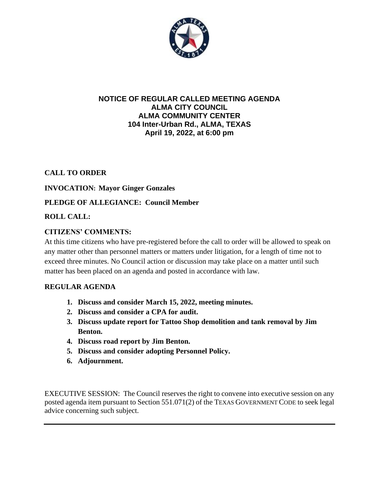

#### **NOTICE OF REGULAR CALLED MEETING AGENDA ALMA CITY COUNCIL ALMA COMMUNITY CENTER 104 Inter-Urban Rd., ALMA, TEXAS April 19, 2022, at 6:00 pm**

# **CALL TO ORDER**

#### **INVOCATION: Mayor Ginger Gonzales**

# **PLEDGE OF ALLEGIANCE: Council Member**

# **ROLL CALL:**

# **CITIZENS' COMMENTS:**

At this time citizens who have pre-registered before the call to order will be allowed to speak on any matter other than personnel matters or matters under litigation, for a length of time not to exceed three minutes. No Council action or discussion may take place on a matter until such matter has been placed on an agenda and posted in accordance with law.

#### **REGULAR AGENDA**

- **1. Discuss and consider March 15, 2022, meeting minutes.**
- **2. Discuss and consider a CPA for audit.**
- **3. Discuss update report for Tattoo Shop demolition and tank removal by Jim Benton.**
- **4. Discuss road report by Jim Benton.**
- **5. Discuss and consider adopting Personnel Policy.**
- **6. Adjournment.**

EXECUTIVE SESSION: The Council reserves the right to convene into executive session on any posted agenda item pursuant to Section 551.071(2) of the TEXAS GOVERNMENT CODE to seek legal advice concerning such subject.